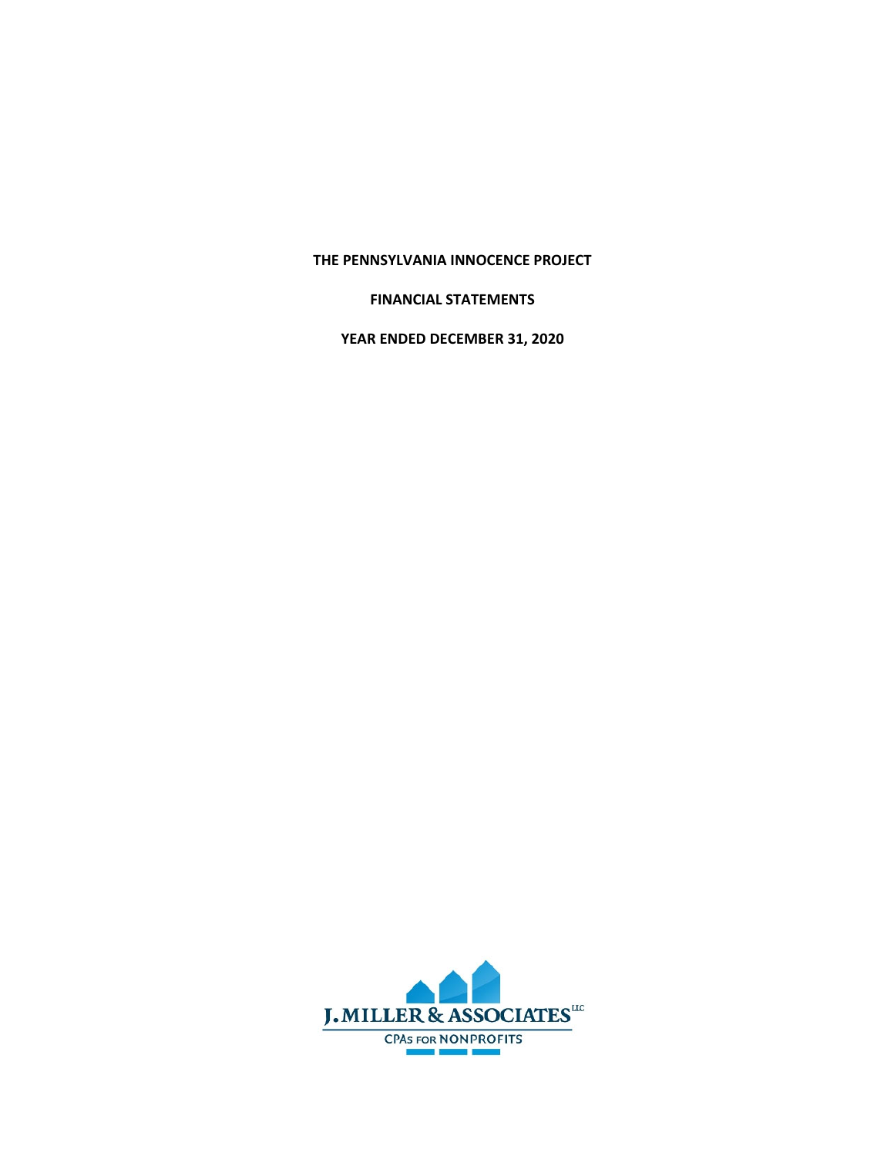# **THE PENNSYLVANIA INNOCENCE PROJECT**

# **FINANCIAL STATEMENTS**

**YEAR ENDED DECEMBER 31, 2020** 

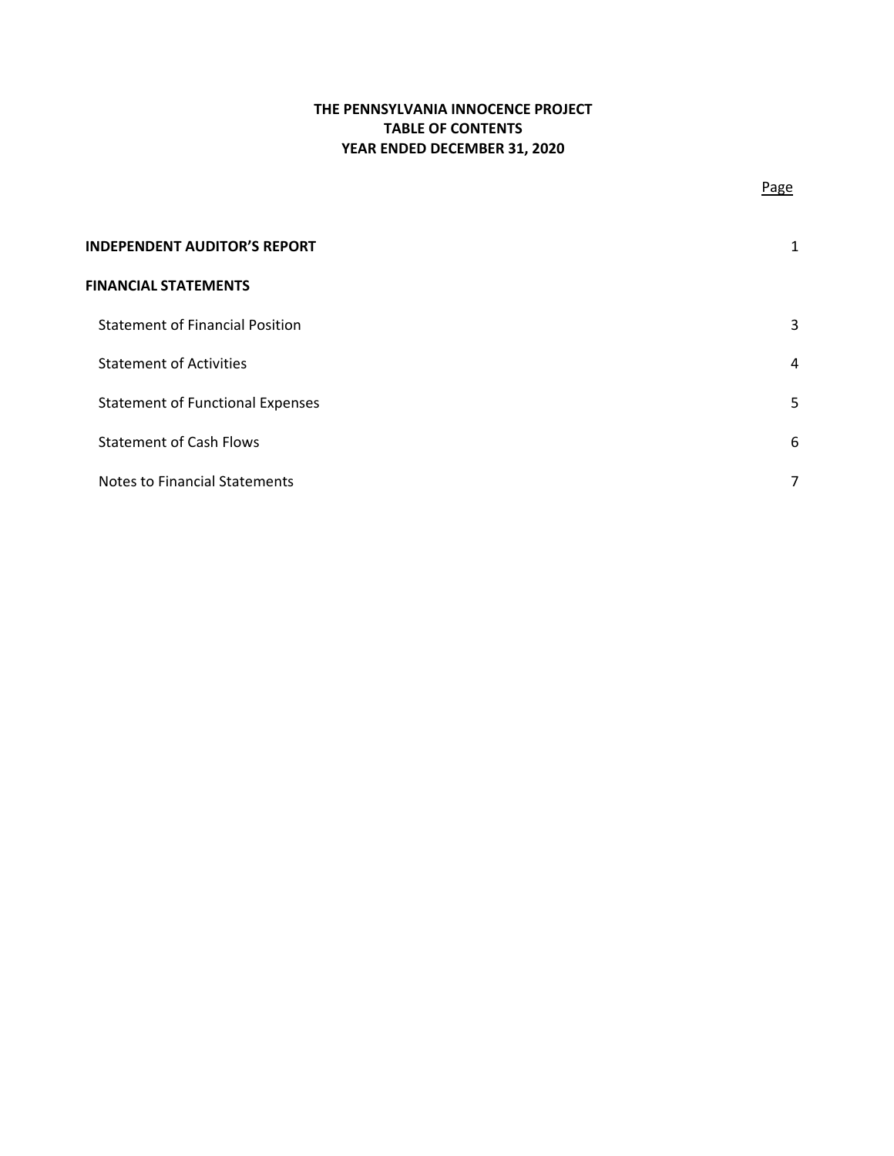# **THE PENNSYLVANIA INNOCENCE PROJECT TABLE OF CONTENTS YEAR ENDED DECEMBER 31, 2020**

| <b>INDEPENDENT AUDITOR'S REPORT</b>     |   |
|-----------------------------------------|---|
| <b>FINANCIAL STATEMENTS</b>             |   |
| <b>Statement of Financial Position</b>  | 3 |
| <b>Statement of Activities</b>          | 4 |
| <b>Statement of Functional Expenses</b> | 5 |
| <b>Statement of Cash Flows</b>          | 6 |
| <b>Notes to Financial Statements</b>    |   |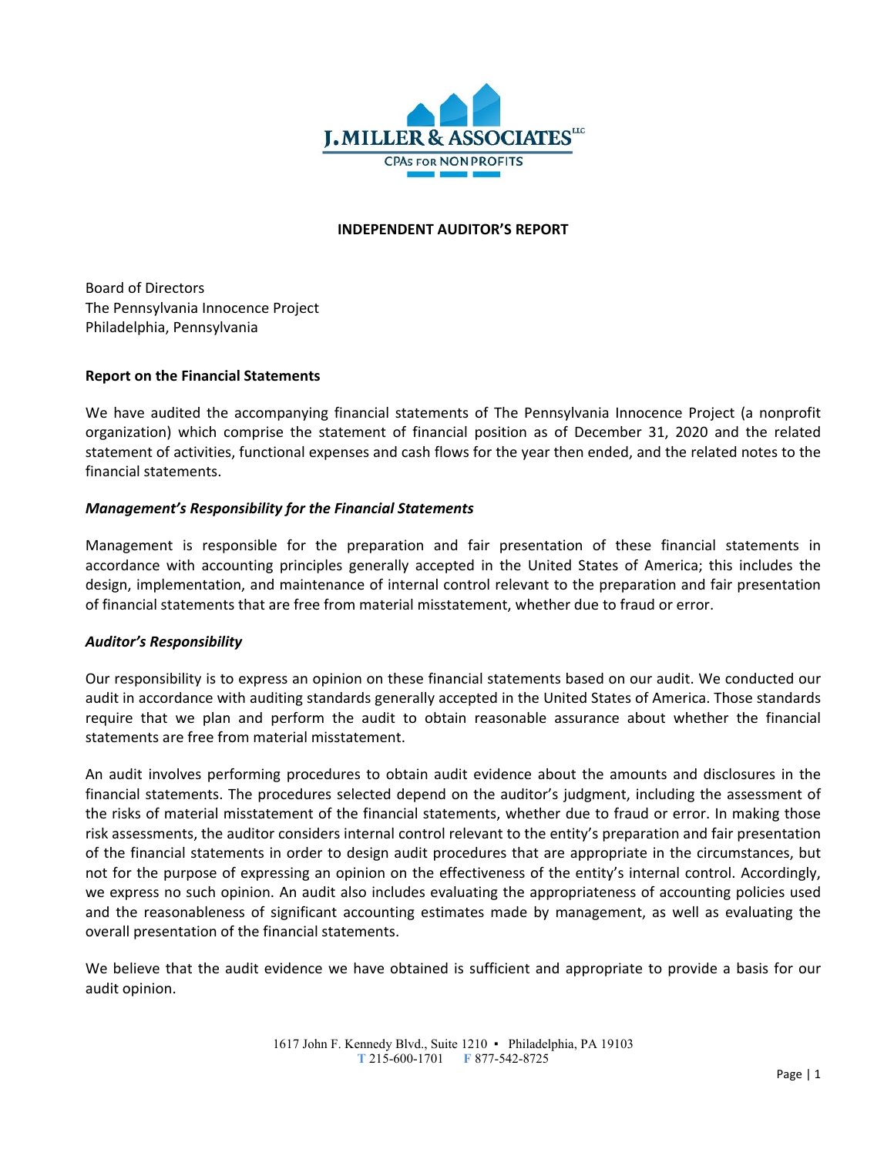

## **INDEPENDENT AUDITOR'S REPORT**

Board of Directors The Pennsylvania Innocence Project Philadelphia, Pennsylvania

## **Report on the Financial Statements**

We have audited the accompanying financial statements of The Pennsylvania Innocence Project (a nonprofit organization) which comprise the statement of financial position as of December 31, 2020 and the related statement of activities, functional expenses and cash flows for the year then ended, and the related notes to the financial statements.

## *Management's Responsibility for the Financial Statements*

Management is responsible for the preparation and fair presentation of these financial statements in accordance with accounting principles generally accepted in the United States of America; this includes the design, implementation, and maintenance of internal control relevant to the preparation and fair presentation of financial statements that are free from material misstatement, whether due to fraud or error.

## *Auditor's Responsibility*

Our responsibility is to express an opinion on these financial statements based on our audit. We conducted our audit in accordance with auditing standards generally accepted in the United States of America. Those standards require that we plan and perform the audit to obtain reasonable assurance about whether the financial statements are free from material misstatement.

An audit involves performing procedures to obtain audit evidence about the amounts and disclosures in the financial statements. The procedures selected depend on the auditor's judgment, including the assessment of the risks of material misstatement of the financial statements, whether due to fraud or error. In making those risk assessments, the auditor considers internal control relevant to the entity's preparation and fair presentation of the financial statements in order to design audit procedures that are appropriate in the circumstances, but not for the purpose of expressing an opinion on the effectiveness of the entity's internal control. Accordingly, we express no such opinion. An audit also includes evaluating the appropriateness of accounting policies used and the reasonableness of significant accounting estimates made by management, as well as evaluating the overall presentation of the financial statements.

We believe that the audit evidence we have obtained is sufficient and appropriate to provide a basis for our audit opinion.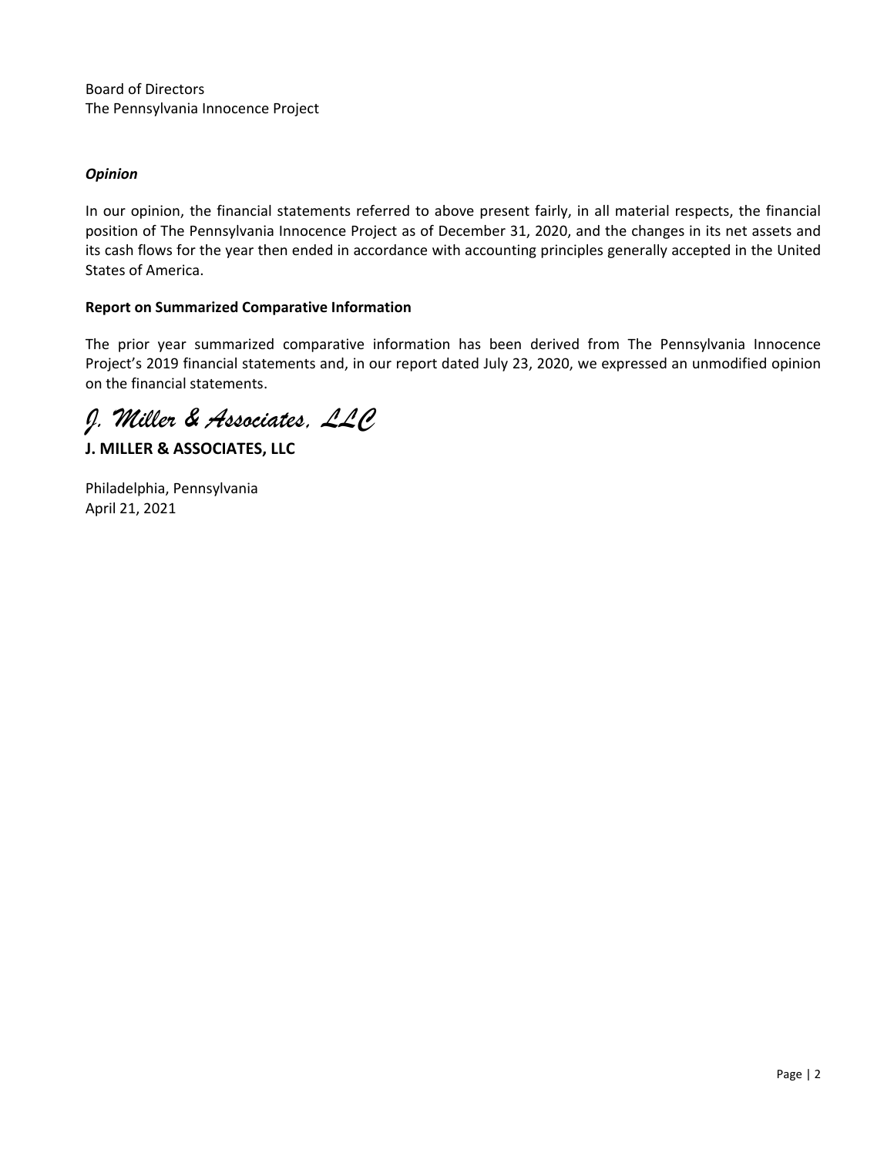Board of Directors The Pennsylvania Innocence Project

# *Opinion*

In our opinion, the financial statements referred to above present fairly, in all material respects, the financial position of The Pennsylvania Innocence Project as of December 31, 2020, and the changes in its net assets and its cash flows for the year then ended in accordance with accounting principles generally accepted in the United States of America.

# **Report on Summarized Comparative Information**

The prior year summarized comparative information has been derived from The Pennsylvania Innocence Project's 2019 financial statements and, in our report dated July 23, 2020, we expressed an unmodified opinion on the financial statements.

*J. Miller & Associates, LLC* 

**J. MILLER & ASSOCIATES, LLC**

Philadelphia, Pennsylvania April 21, 2021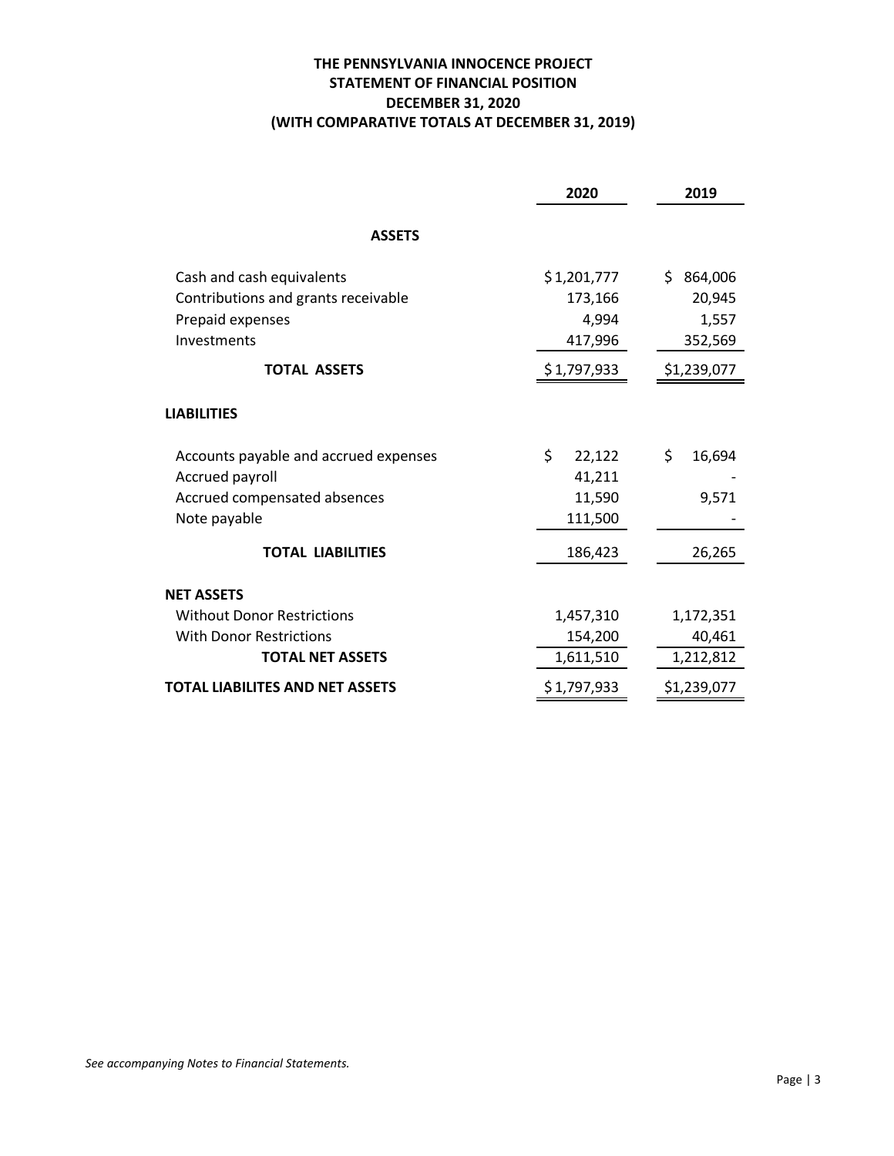# **THE PENNSYLVANIA INNOCENCE PROJECT STATEMENT OF FINANCIAL POSITION DECEMBER 31, 2020 (WITH COMPARATIVE TOTALS AT DECEMBER 31, 2019)**

|                                       | 2020         | 2019           |
|---------------------------------------|--------------|----------------|
| <b>ASSETS</b>                         |              |                |
| Cash and cash equivalents             | \$1,201,777  | \$.<br>864,006 |
| Contributions and grants receivable   | 173,166      | 20,945         |
| Prepaid expenses                      | 4,994        | 1,557          |
| Investments                           | 417,996      | 352,569        |
| <b>TOTAL ASSETS</b>                   | \$1,797,933  | \$1,239,077    |
| <b>LIABILITIES</b>                    |              |                |
| Accounts payable and accrued expenses | \$<br>22,122 | \$<br>16,694   |
| Accrued payroll                       | 41,211       |                |
| Accrued compensated absences          | 11,590       | 9,571          |
| Note payable                          | 111,500      |                |
| <b>TOTAL LIABILITIES</b>              | 186,423      | 26,265         |
| <b>NET ASSETS</b>                     |              |                |
| <b>Without Donor Restrictions</b>     | 1,457,310    | 1,172,351      |
| <b>With Donor Restrictions</b>        | 154,200      | 40,461         |
| <b>TOTAL NET ASSETS</b>               | 1,611,510    | 1,212,812      |
| TOTAL LIABILITES AND NET ASSETS       | \$1,797,933  | \$1,239,077    |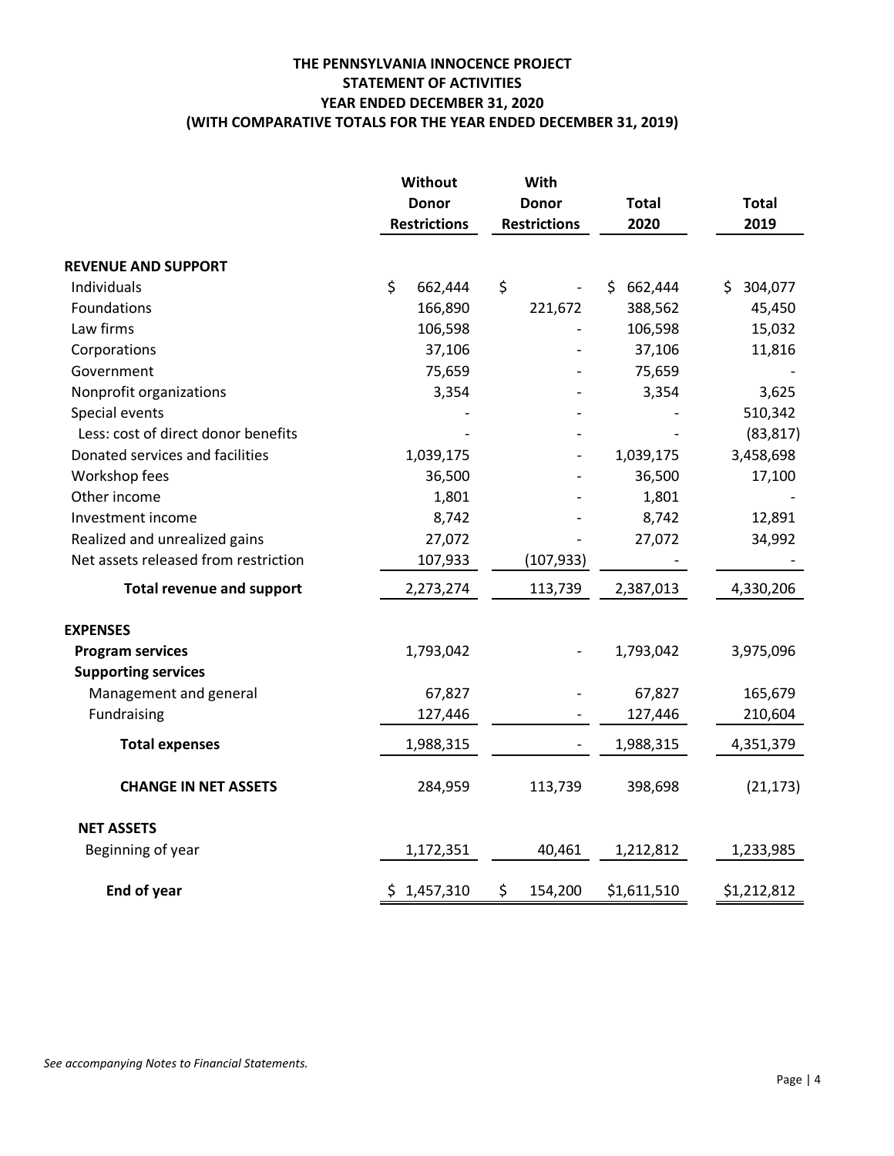# **THE PENNSYLVANIA INNOCENCE PROJECT STATEMENT OF ACTIVITIES YEAR ENDED DECEMBER 31, 2020 (WITH COMPARATIVE TOTALS FOR THE YEAR ENDED DECEMBER 31, 2019)**

|                                      | Without             | With                |               |                |
|--------------------------------------|---------------------|---------------------|---------------|----------------|
|                                      | <b>Donor</b>        | <b>Donor</b>        | <b>Total</b>  | <b>Total</b>   |
|                                      | <b>Restrictions</b> | <b>Restrictions</b> | 2020          | 2019           |
| <b>REVENUE AND SUPPORT</b>           |                     |                     |               |                |
| Individuals                          | \$<br>662,444       | \$                  | 662,444<br>S. | 304,077<br>\$. |
| Foundations                          | 166,890             | 221,672             | 388,562       | 45,450         |
| Law firms                            | 106,598             |                     | 106,598       | 15,032         |
| Corporations                         | 37,106              |                     | 37,106        | 11,816         |
| Government                           | 75,659              |                     | 75,659        |                |
| Nonprofit organizations              | 3,354               |                     | 3,354         | 3,625          |
| Special events                       |                     |                     |               | 510,342        |
| Less: cost of direct donor benefits  |                     |                     |               | (83, 817)      |
| Donated services and facilities      | 1,039,175           |                     | 1,039,175     | 3,458,698      |
| Workshop fees                        | 36,500              |                     | 36,500        | 17,100         |
| Other income                         | 1,801               |                     | 1,801         |                |
| Investment income                    | 8,742               |                     | 8,742         | 12,891         |
| Realized and unrealized gains        | 27,072              |                     | 27,072        | 34,992         |
| Net assets released from restriction | 107,933             | (107, 933)          |               |                |
| <b>Total revenue and support</b>     | 2,273,274           | 113,739             | 2,387,013     | 4,330,206      |
| <b>EXPENSES</b>                      |                     |                     |               |                |
| <b>Program services</b>              | 1,793,042           |                     | 1,793,042     | 3,975,096      |
| <b>Supporting services</b>           |                     |                     |               |                |
| Management and general               | 67,827              |                     | 67,827        | 165,679        |
| Fundraising                          | 127,446             |                     | 127,446       | 210,604        |
| <b>Total expenses</b>                | 1,988,315           |                     | 1,988,315     | 4,351,379      |
| <b>CHANGE IN NET ASSETS</b>          | 284,959             | 113,739             | 398,698       | (21, 173)      |
| <b>NET ASSETS</b>                    |                     |                     |               |                |
| Beginning of year                    | 1,172,351           | 40,461              | 1,212,812     | 1,233,985      |
| End of year                          | \$1,457,310         | \$<br>154,200       | \$1,611,510   | \$1,212,812    |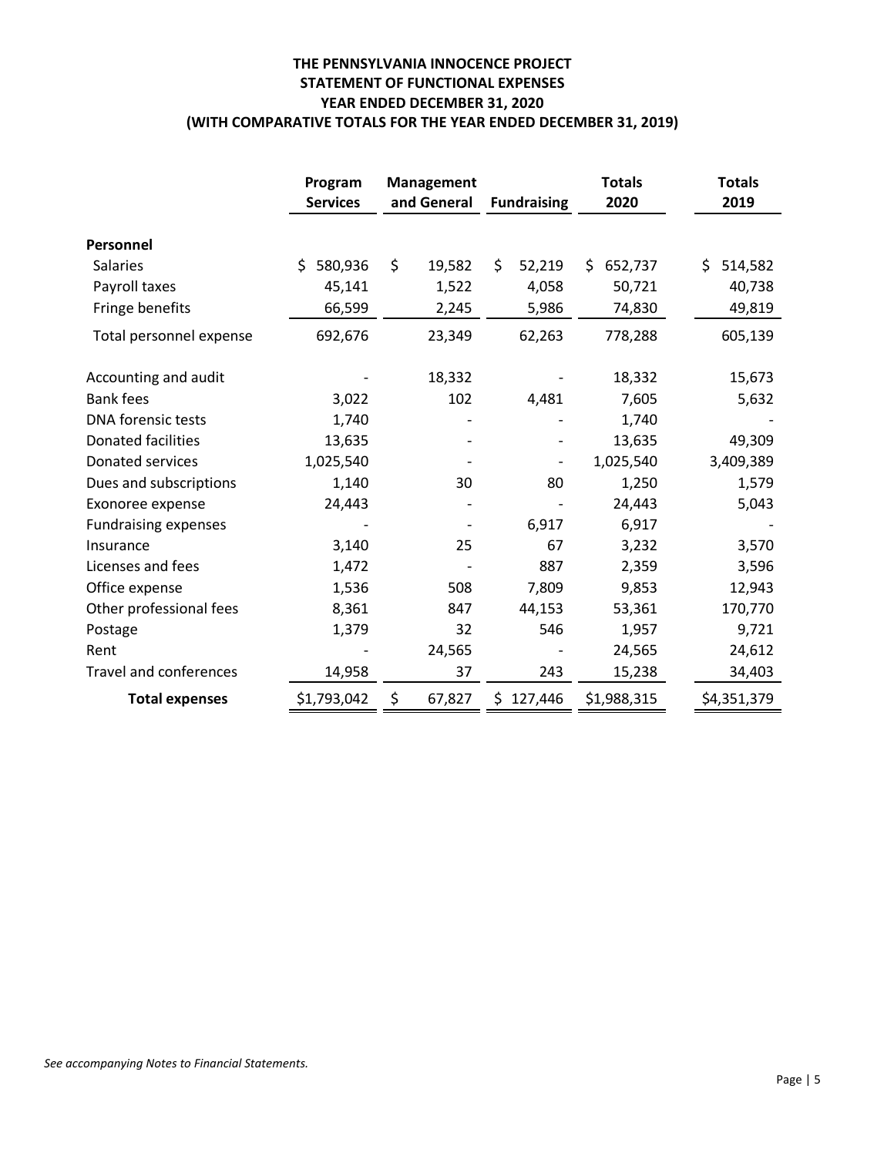# **THE PENNSYLVANIA INNOCENCE PROJECT STATEMENT OF FUNCTIONAL EXPENSES YEAR ENDED DECEMBER 31, 2020 (WITH COMPARATIVE TOTALS FOR THE YEAR ENDED DECEMBER 31, 2019)**

|                               | Program<br><b>Services</b> | Management<br>and General | <b>Fundraising</b> | <b>Totals</b><br>2020 | <b>Totals</b><br>2019 |
|-------------------------------|----------------------------|---------------------------|--------------------|-----------------------|-----------------------|
| Personnel                     |                            |                           |                    |                       |                       |
| <b>Salaries</b>               | \$<br>580,936              | \$<br>19,582              | \$<br>52,219       | \$.<br>652,737        | \$.<br>514,582        |
| Payroll taxes                 | 45,141                     | 1,522                     | 4,058              | 50,721                | 40,738                |
| Fringe benefits               | 66,599                     | 2,245                     | 5,986              | 74,830                | 49,819                |
| Total personnel expense       | 692,676                    | 23,349                    | 62,263             | 778,288               | 605,139               |
| Accounting and audit          |                            | 18,332                    |                    | 18,332                | 15,673                |
| <b>Bank fees</b>              | 3,022                      | 102                       | 4,481              | 7,605                 | 5,632                 |
| DNA forensic tests            | 1,740                      |                           |                    | 1,740                 |                       |
| <b>Donated facilities</b>     | 13,635                     |                           |                    | 13,635                | 49,309                |
| Donated services              | 1,025,540                  |                           |                    | 1,025,540             | 3,409,389             |
| Dues and subscriptions        | 1,140                      | 30                        | 80                 | 1,250                 | 1,579                 |
| Exonoree expense              | 24,443                     |                           |                    | 24,443                | 5,043                 |
| <b>Fundraising expenses</b>   |                            |                           | 6,917              | 6,917                 |                       |
| Insurance                     | 3,140                      | 25                        | 67                 | 3,232                 | 3,570                 |
| Licenses and fees             | 1,472                      |                           | 887                | 2,359                 | 3,596                 |
| Office expense                | 1,536                      | 508                       | 7,809              | 9,853                 | 12,943                |
| Other professional fees       | 8,361                      | 847                       | 44,153             | 53,361                | 170,770               |
| Postage                       | 1,379                      | 32                        | 546                | 1,957                 | 9,721                 |
| Rent                          |                            | 24,565                    |                    | 24,565                | 24,612                |
| <b>Travel and conferences</b> | 14,958                     | 37                        | 243                | 15,238                | 34,403                |
| <b>Total expenses</b>         | \$1,793,042                | \$<br>67,827              | \$127,446          | \$1,988,315           | \$4,351,379           |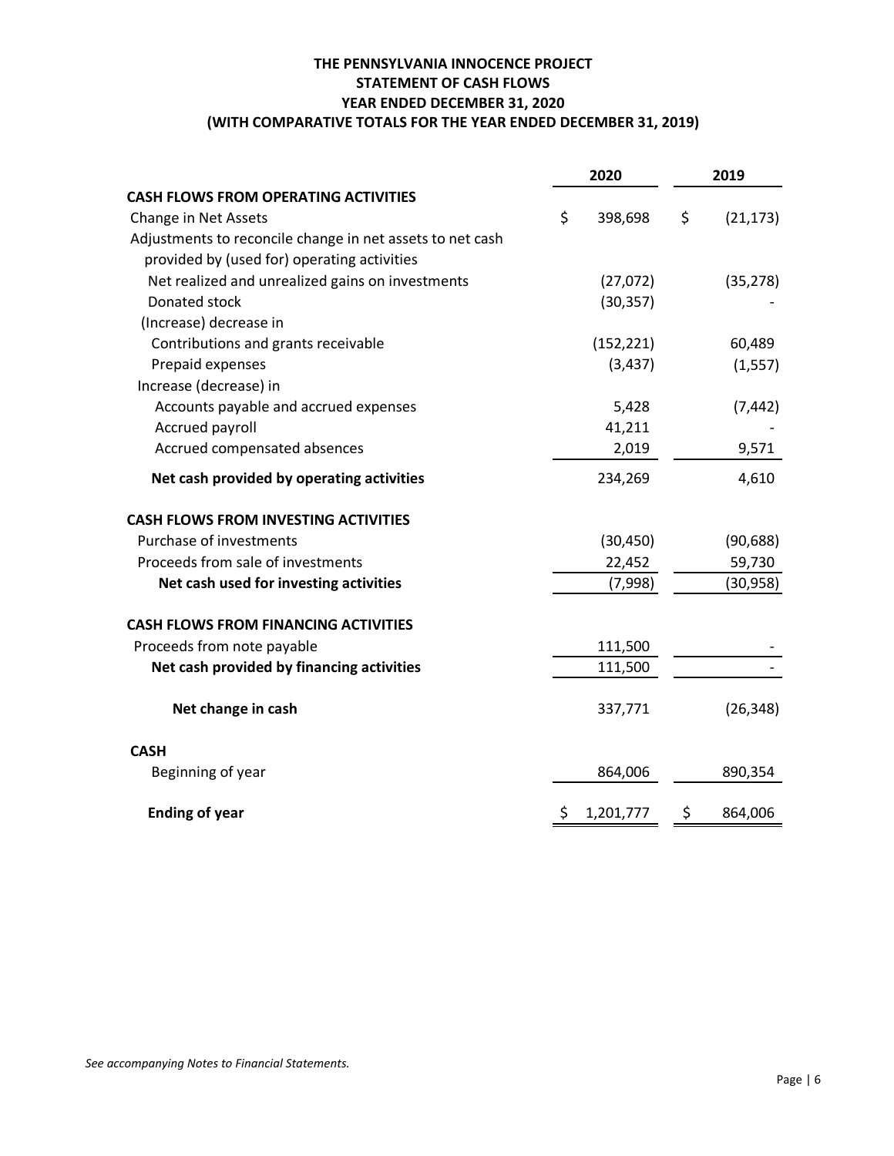# **THE PENNSYLVANIA INNOCENCE PROJECT STATEMENT OF CASH FLOWS YEAR ENDED DECEMBER 31, 2020 (WITH COMPARATIVE TOTALS FOR THE YEAR ENDED DECEMBER 31, 2019)**

|                                                           | 2020          |    | 2019      |
|-----------------------------------------------------------|---------------|----|-----------|
| <b>CASH FLOWS FROM OPERATING ACTIVITIES</b>               |               |    |           |
| Change in Net Assets                                      | \$<br>398,698 | \$ | (21, 173) |
| Adjustments to reconcile change in net assets to net cash |               |    |           |
| provided by (used for) operating activities               |               |    |           |
| Net realized and unrealized gains on investments          | (27,072)      |    | (35, 278) |
| Donated stock                                             | (30, 357)     |    |           |
| (Increase) decrease in                                    |               |    |           |
| Contributions and grants receivable                       | (152, 221)    |    | 60,489    |
| Prepaid expenses                                          | (3, 437)      |    | (1, 557)  |
| Increase (decrease) in                                    |               |    |           |
| Accounts payable and accrued expenses                     | 5,428         |    | (7, 442)  |
| Accrued payroll                                           | 41,211        |    |           |
| Accrued compensated absences                              | 2,019         |    | 9,571     |
| Net cash provided by operating activities                 | 234,269       |    | 4,610     |
| <b>CASH FLOWS FROM INVESTING ACTIVITIES</b>               |               |    |           |
| Purchase of investments                                   | (30, 450)     |    | (90, 688) |
| Proceeds from sale of investments                         | 22,452        |    | 59,730    |
| Net cash used for investing activities                    | (7,998)       |    | (30,958)  |
| <b>CASH FLOWS FROM FINANCING ACTIVITIES</b>               |               |    |           |
| Proceeds from note payable                                | 111,500       |    |           |
| Net cash provided by financing activities                 | 111,500       |    |           |
| Net change in cash                                        | 337,771       |    | (26, 348) |
| <b>CASH</b>                                               |               |    |           |
| Beginning of year                                         | 864,006       |    | 890,354   |
| <b>Ending of year</b>                                     | 1,201,777     | Ş  | 864,006   |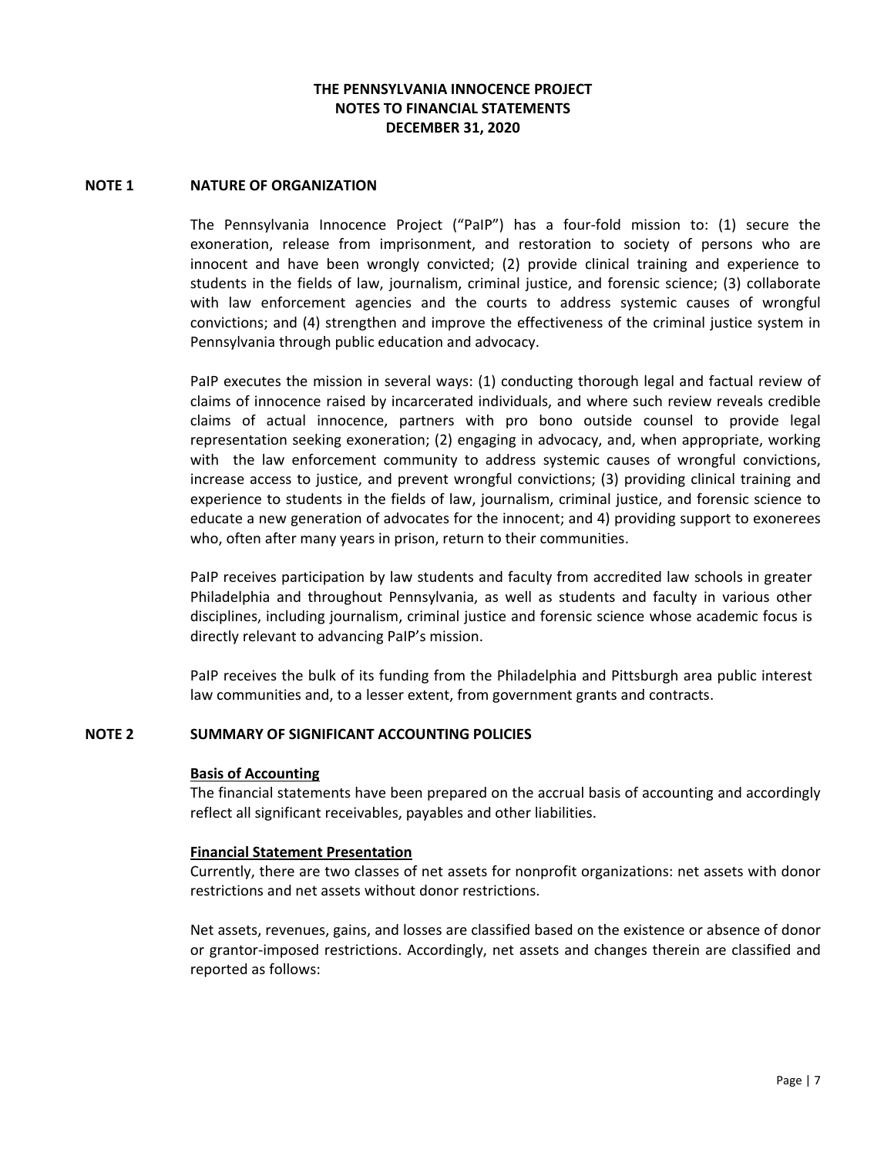## **NOTE 1 NATURE OF ORGANIZATION**

The Pennsylvania Innocence Project ("PaIP") has a four‐fold mission to: (1) secure the exoneration, release from imprisonment, and restoration to society of persons who are innocent and have been wrongly convicted; (2) provide clinical training and experience to students in the fields of law, journalism, criminal justice, and forensic science; (3) collaborate with law enforcement agencies and the courts to address systemic causes of wrongful convictions; and (4) strengthen and improve the effectiveness of the criminal justice system in Pennsylvania through public education and advocacy.

PaIP executes the mission in several ways: (1) conducting thorough legal and factual review of claims of innocence raised by incarcerated individuals, and where such review reveals credible claims of actual innocence, partners with pro bono outside counsel to provide legal representation seeking exoneration; (2) engaging in advocacy, and, when appropriate, working with the law enforcement community to address systemic causes of wrongful convictions, increase access to justice, and prevent wrongful convictions; (3) providing clinical training and experience to students in the fields of law, journalism, criminal justice, and forensic science to educate a new generation of advocates for the innocent; and 4) providing support to exonerees who, often after many years in prison, return to their communities.

PaIP receives participation by law students and faculty from accredited law schools in greater Philadelphia and throughout Pennsylvania, as well as students and faculty in various other disciplines, including journalism, criminal justice and forensic science whose academic focus is directly relevant to advancing PaIP's mission.

PaIP receives the bulk of its funding from the Philadelphia and Pittsburgh area public interest law communities and, to a lesser extent, from government grants and contracts.

## **NOTE 2 SUMMARY OF SIGNIFICANT ACCOUNTING POLICIES**

## **Basis of Accounting**

The financial statements have been prepared on the accrual basis of accounting and accordingly reflect all significant receivables, payables and other liabilities.

## **Financial Statement Presentation**

Currently, there are two classes of net assets for nonprofit organizations: net assets with donor restrictions and net assets without donor restrictions.

Net assets, revenues, gains, and losses are classified based on the existence or absence of donor or grantor‐imposed restrictions. Accordingly, net assets and changes therein are classified and reported as follows: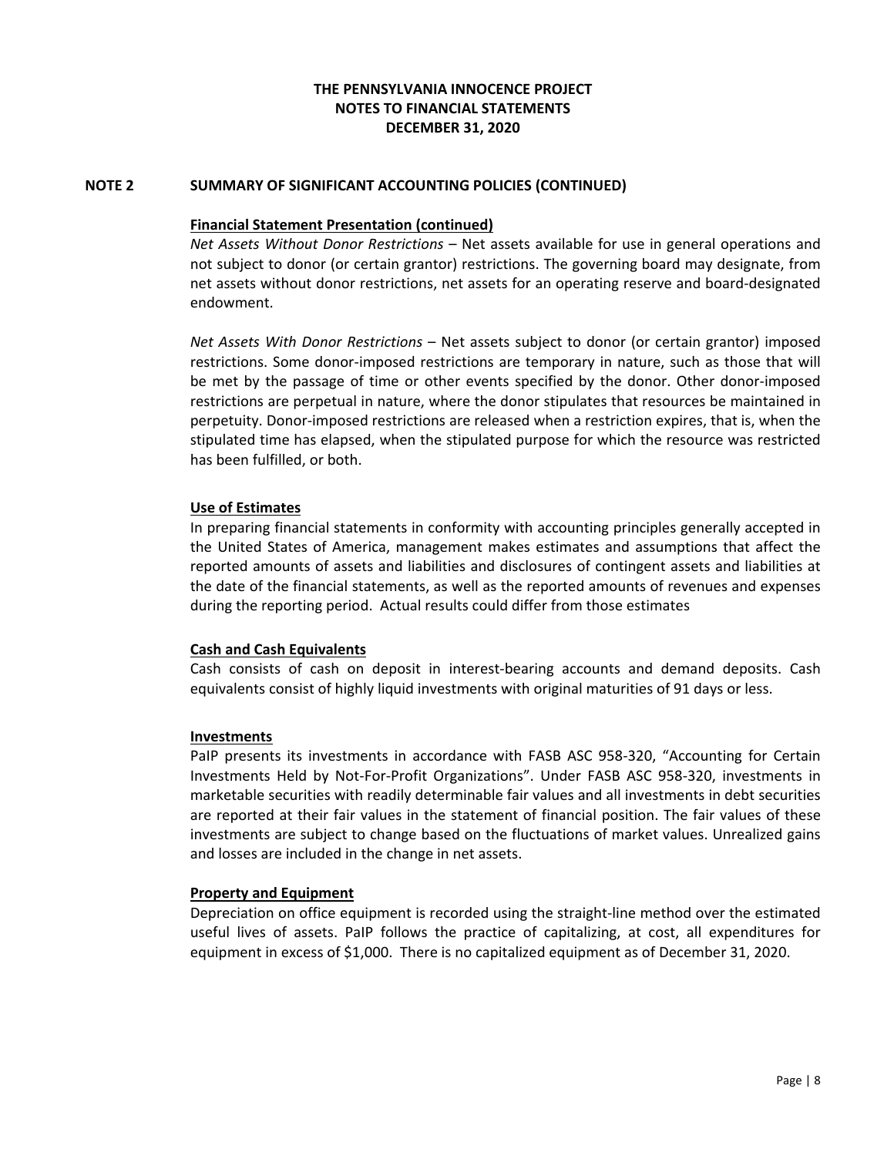# **NOTE 2 SUMMARY OF SIGNIFICANT ACCOUNTING POLICIES (CONTINUED)**

#### **Financial Statement Presentation (continued)**

*Net Assets Without Donor Restrictions* – Net assets available for use in general operations and not subject to donor (or certain grantor) restrictions. The governing board may designate, from net assets without donor restrictions, net assets for an operating reserve and board‐designated endowment.

*Net Assets With Donor Restrictions* – Net assets subject to donor (or certain grantor) imposed restrictions. Some donor-imposed restrictions are temporary in nature, such as those that will be met by the passage of time or other events specified by the donor. Other donor‐imposed restrictions are perpetual in nature, where the donor stipulates that resources be maintained in perpetuity. Donor‐imposed restrictions are released when a restriction expires, that is, when the stipulated time has elapsed, when the stipulated purpose for which the resource was restricted has been fulfilled, or both.

## **Use of Estimates**

In preparing financial statements in conformity with accounting principles generally accepted in the United States of America, management makes estimates and assumptions that affect the reported amounts of assets and liabilities and disclosures of contingent assets and liabilities at the date of the financial statements, as well as the reported amounts of revenues and expenses during the reporting period. Actual results could differ from those estimates

## **Cash and Cash Equivalents**

Cash consists of cash on deposit in interest‐bearing accounts and demand deposits. Cash equivalents consist of highly liquid investments with original maturities of 91 days or less.

#### **Investments**

PaIP presents its investments in accordance with FASB ASC 958‐320, "Accounting for Certain Investments Held by Not-For-Profit Organizations". Under FASB ASC 958-320, investments in marketable securities with readily determinable fair values and all investments in debt securities are reported at their fair values in the statement of financial position. The fair values of these investments are subject to change based on the fluctuations of market values. Unrealized gains and losses are included in the change in net assets.

## **Property and Equipment**

Depreciation on office equipment is recorded using the straight‐line method over the estimated useful lives of assets. PaIP follows the practice of capitalizing, at cost, all expenditures for equipment in excess of \$1,000. There is no capitalized equipment as of December 31, 2020.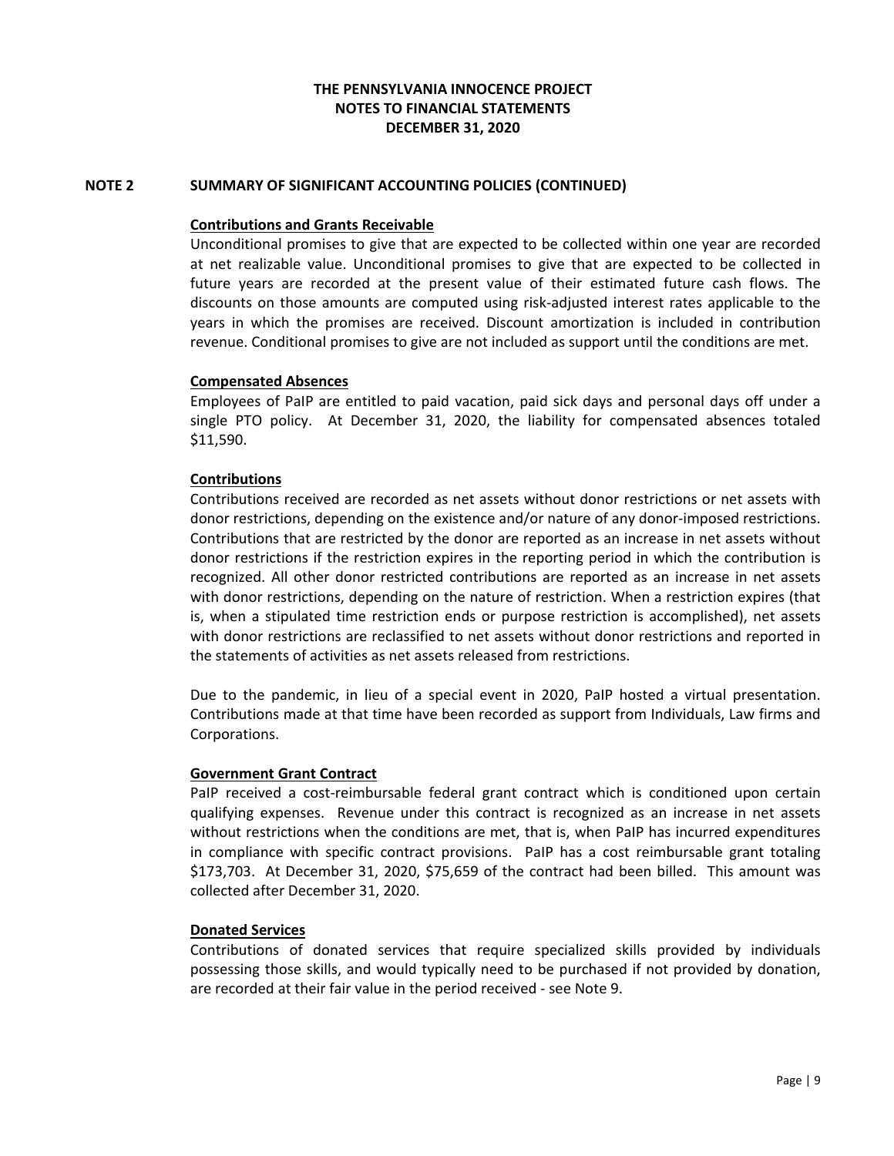# **NOTE 2 SUMMARY OF SIGNIFICANT ACCOUNTING POLICIES (CONTINUED)**

## **Contributions and Grants Receivable**

Unconditional promises to give that are expected to be collected within one year are recorded at net realizable value. Unconditional promises to give that are expected to be collected in future years are recorded at the present value of their estimated future cash flows. The discounts on those amounts are computed using risk‐adjusted interest rates applicable to the years in which the promises are received. Discount amortization is included in contribution revenue. Conditional promises to give are not included as support until the conditions are met.

## **Compensated Absences**

Employees of PaIP are entitled to paid vacation, paid sick days and personal days off under a single PTO policy. At December 31, 2020, the liability for compensated absences totaled \$11,590.

## **Contributions**

Contributions received are recorded as net assets without donor restrictions or net assets with donor restrictions, depending on the existence and/or nature of any donor‐imposed restrictions. Contributions that are restricted by the donor are reported as an increase in net assets without donor restrictions if the restriction expires in the reporting period in which the contribution is recognized. All other donor restricted contributions are reported as an increase in net assets with donor restrictions, depending on the nature of restriction. When a restriction expires (that is, when a stipulated time restriction ends or purpose restriction is accomplished), net assets with donor restrictions are reclassified to net assets without donor restrictions and reported in the statements of activities as net assets released from restrictions.

Due to the pandemic, in lieu of a special event in 2020, PaIP hosted a virtual presentation. Contributions made at that time have been recorded as support from Individuals, Law firms and Corporations.

## **Government Grant Contract**

PaIP received a cost-reimbursable federal grant contract which is conditioned upon certain qualifying expenses. Revenue under this contract is recognized as an increase in net assets without restrictions when the conditions are met, that is, when PaIP has incurred expenditures in compliance with specific contract provisions. PaIP has a cost reimbursable grant totaling \$173,703. At December 31, 2020, \$75,659 of the contract had been billed. This amount was collected after December 31, 2020.

## **Donated Services**

Contributions of donated services that require specialized skills provided by individuals possessing those skills, and would typically need to be purchased if not provided by donation, are recorded at their fair value in the period received ‐ see Note 9.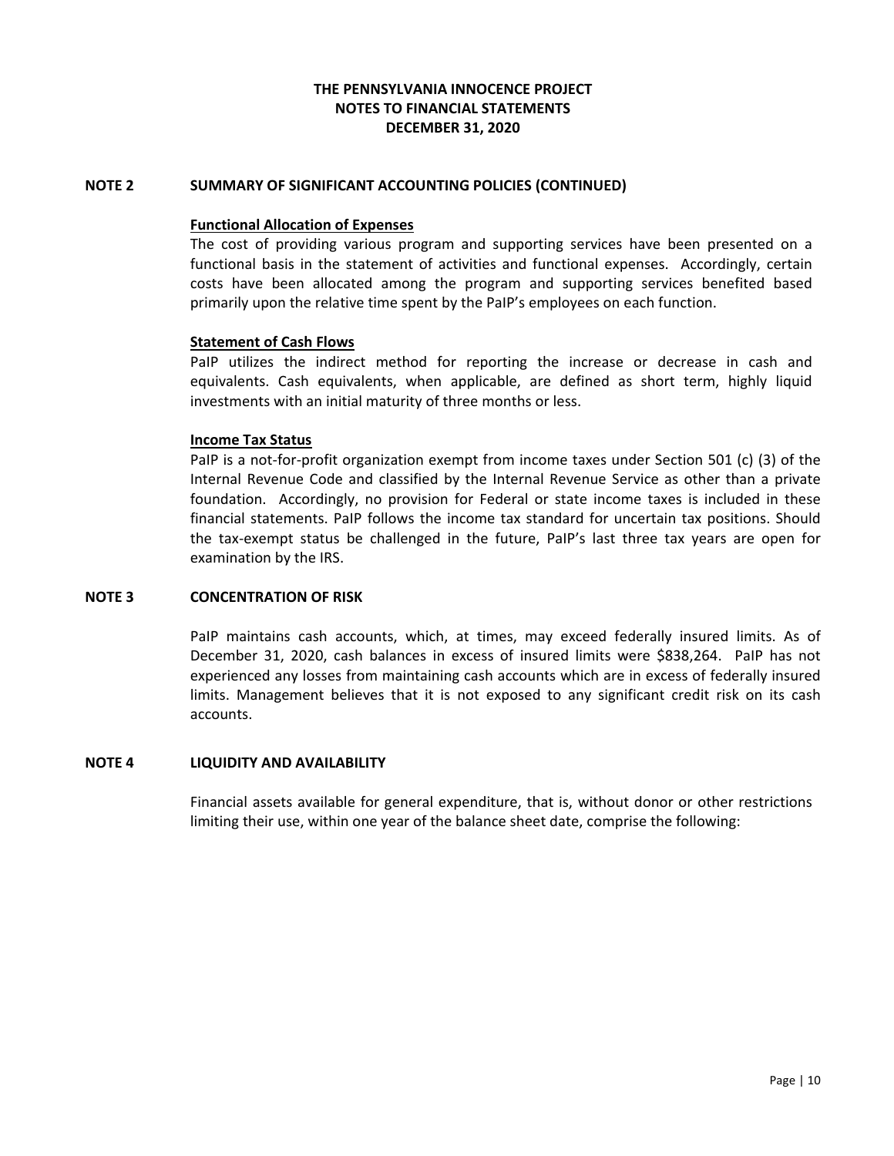## **NOTE 2 SUMMARY OF SIGNIFICANT ACCOUNTING POLICIES (CONTINUED)**

## **Functional Allocation of Expenses**

The cost of providing various program and supporting services have been presented on a functional basis in the statement of activities and functional expenses. Accordingly, certain costs have been allocated among the program and supporting services benefited based primarily upon the relative time spent by the PaIP's employees on each function.

## **Statement of Cash Flows**

PaIP utilizes the indirect method for reporting the increase or decrease in cash and equivalents. Cash equivalents, when applicable, are defined as short term, highly liquid investments with an initial maturity of three months or less.

## **Income Tax Status**

PaIP is a not-for-profit organization exempt from income taxes under Section 501 (c) (3) of the Internal Revenue Code and classified by the Internal Revenue Service as other than a private foundation. Accordingly, no provision for Federal or state income taxes is included in these financial statements. PaIP follows the income tax standard for uncertain tax positions. Should the tax‐exempt status be challenged in the future, PaIP's last three tax years are open for examination by the IRS.

## **NOTE 3 CONCENTRATION OF RISK**

PaIP maintains cash accounts, which, at times, may exceed federally insured limits. As of December 31, 2020, cash balances in excess of insured limits were \$838,264. PaIP has not experienced any losses from maintaining cash accounts which are in excess of federally insured limits. Management believes that it is not exposed to any significant credit risk on its cash accounts.

## **NOTE 4 LIQUIDITY AND AVAILABILITY**

Financial assets available for general expenditure, that is, without donor or other restrictions limiting their use, within one year of the balance sheet date, comprise the following: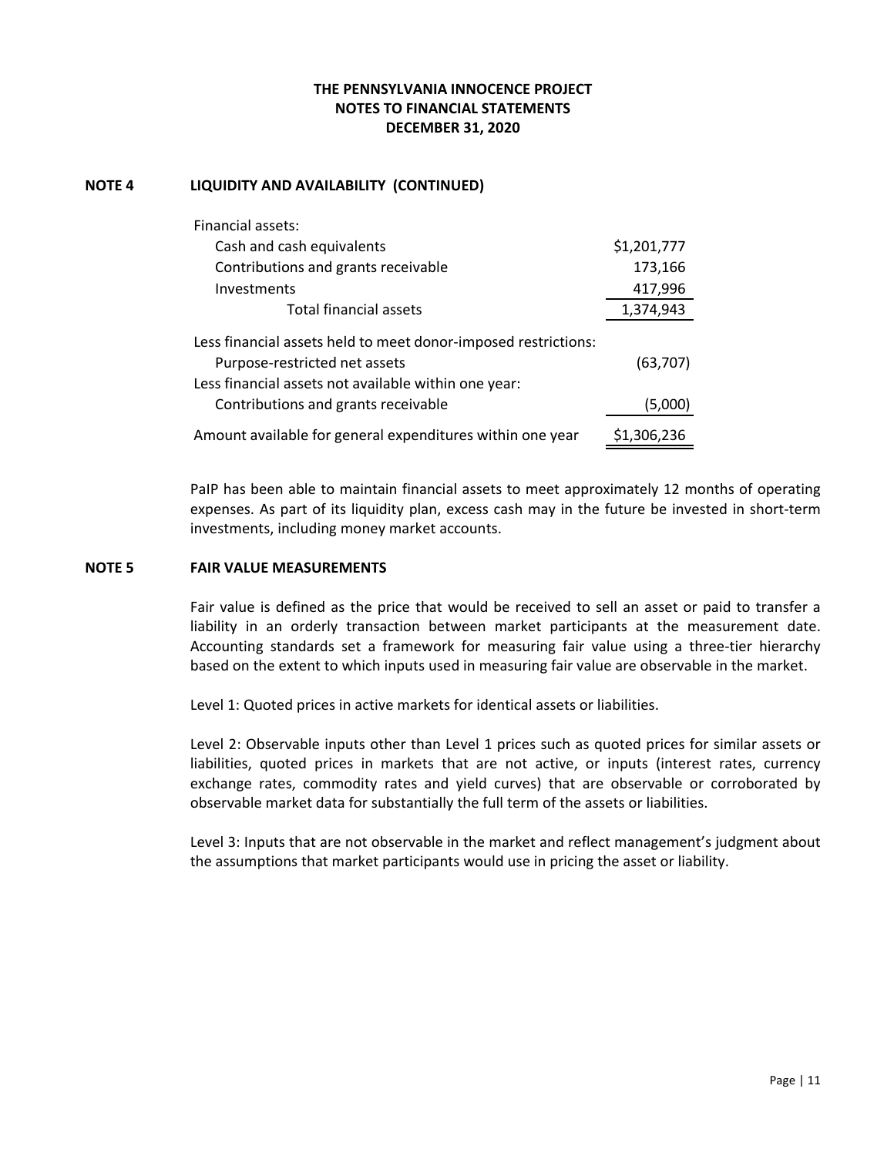# **NOTE 4 LIQUIDITY AND AVAILABILITY (CONTINUED)**

| Financial assets:                                              |             |
|----------------------------------------------------------------|-------------|
| Cash and cash equivalents                                      | \$1,201,777 |
| Contributions and grants receivable                            | 173,166     |
| Investments                                                    | 417,996     |
| <b>Total financial assets</b>                                  | 1,374,943   |
| Less financial assets held to meet donor-imposed restrictions: |             |
| Purpose-restricted net assets                                  | (63, 707)   |
| Less financial assets not available within one year:           |             |
| Contributions and grants receivable                            | (5,000)     |
| Amount available for general expenditures within one year      | \$1,306,236 |

PaIP has been able to maintain financial assets to meet approximately 12 months of operating expenses. As part of its liquidity plan, excess cash may in the future be invested in short‐term investments, including money market accounts.

## **NOTE 5 FAIR VALUE MEASUREMENTS**

Fair value is defined as the price that would be received to sell an asset or paid to transfer a liability in an orderly transaction between market participants at the measurement date. Accounting standards set a framework for measuring fair value using a three‐tier hierarchy based on the extent to which inputs used in measuring fair value are observable in the market.

Level 1: Quoted prices in active markets for identical assets or liabilities.

Level 2: Observable inputs other than Level 1 prices such as quoted prices for similar assets or liabilities, quoted prices in markets that are not active, or inputs (interest rates, currency exchange rates, commodity rates and yield curves) that are observable or corroborated by observable market data for substantially the full term of the assets or liabilities.

Level 3: Inputs that are not observable in the market and reflect management's judgment about the assumptions that market participants would use in pricing the asset or liability.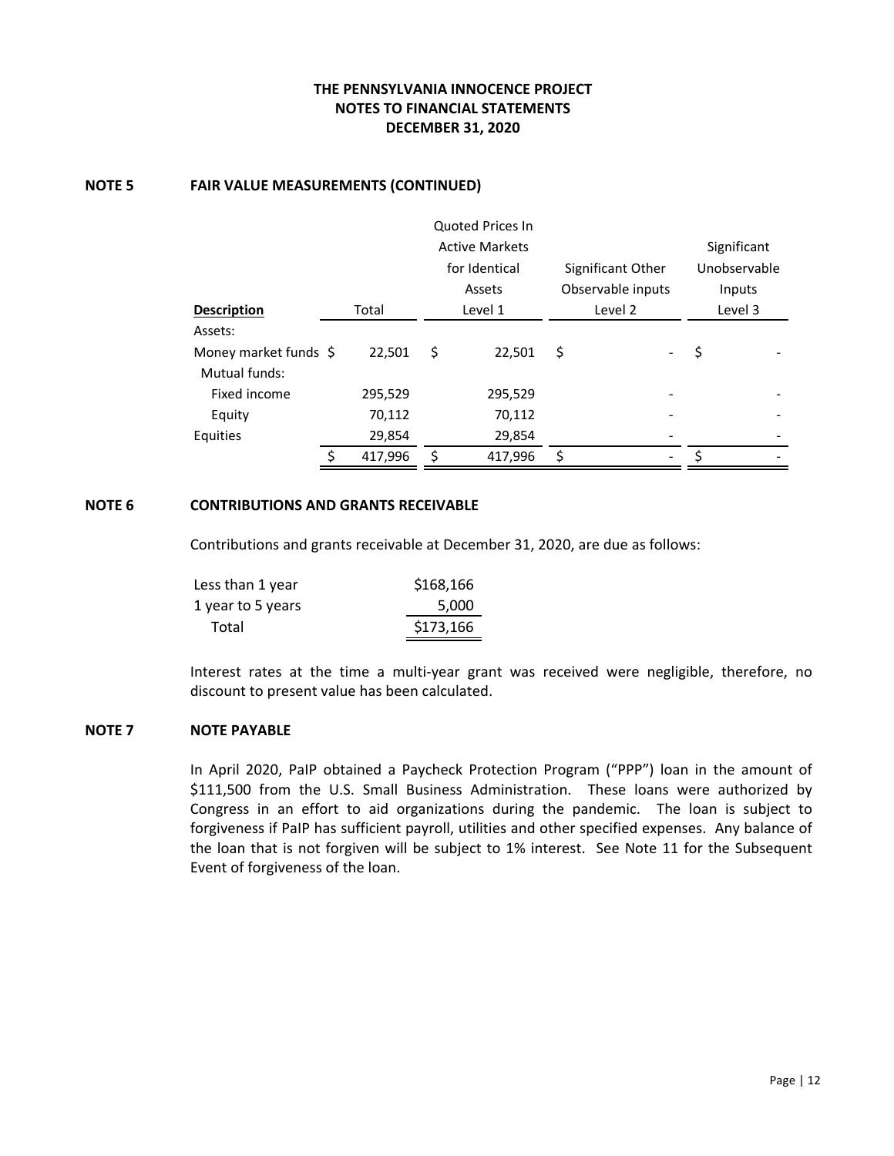## **NOTE 5 FAIR VALUE MEASUREMENTS (CONTINUED)**

|                                        |               | Quoted Prices In      |                   |              |
|----------------------------------------|---------------|-----------------------|-------------------|--------------|
|                                        |               | <b>Active Markets</b> |                   | Significant  |
|                                        |               | for Identical         | Significant Other | Unobservable |
|                                        |               | Assets                | Observable inputs | Inputs       |
| <b>Description</b>                     | Total         | Level 1               | Level 2           | Level 3      |
| Assets:                                |               |                       |                   |              |
| Money market funds \$<br>Mutual funds: | 22,501        | \$<br>22,501          | \$                | \$           |
| Fixed income                           | 295,529       | 295,529               |                   |              |
| Equity                                 | 70,112        | 70,112                |                   |              |
| <b>Equities</b>                        | 29,854        | 29,854                |                   |              |
|                                        | \$<br>417,996 | \$<br>417,996         | \$                |              |

# **NOTE 6 CONTRIBUTIONS AND GRANTS RECEIVABLE**

 Contributions and grants receivable at December 31, 2020, are due as follows:

| \$168,166 |
|-----------|
| 5,000     |
| \$173,166 |
|           |

Interest rates at the time a multi‐year grant was received were negligible, therefore, no discount to present value has been calculated.

# **NOTE 7 NOTE PAYABLE**

In April 2020, PaIP obtained a Paycheck Protection Program ("PPP") loan in the amount of \$111,500 from the U.S. Small Business Administration. These loans were authorized by Congress in an effort to aid organizations during the pandemic. The loan is subject to forgiveness if PaIP has sufficient payroll, utilities and other specified expenses. Any balance of the loan that is not forgiven will be subject to 1% interest. See Note 11 for the Subsequent Event of forgiveness of the loan.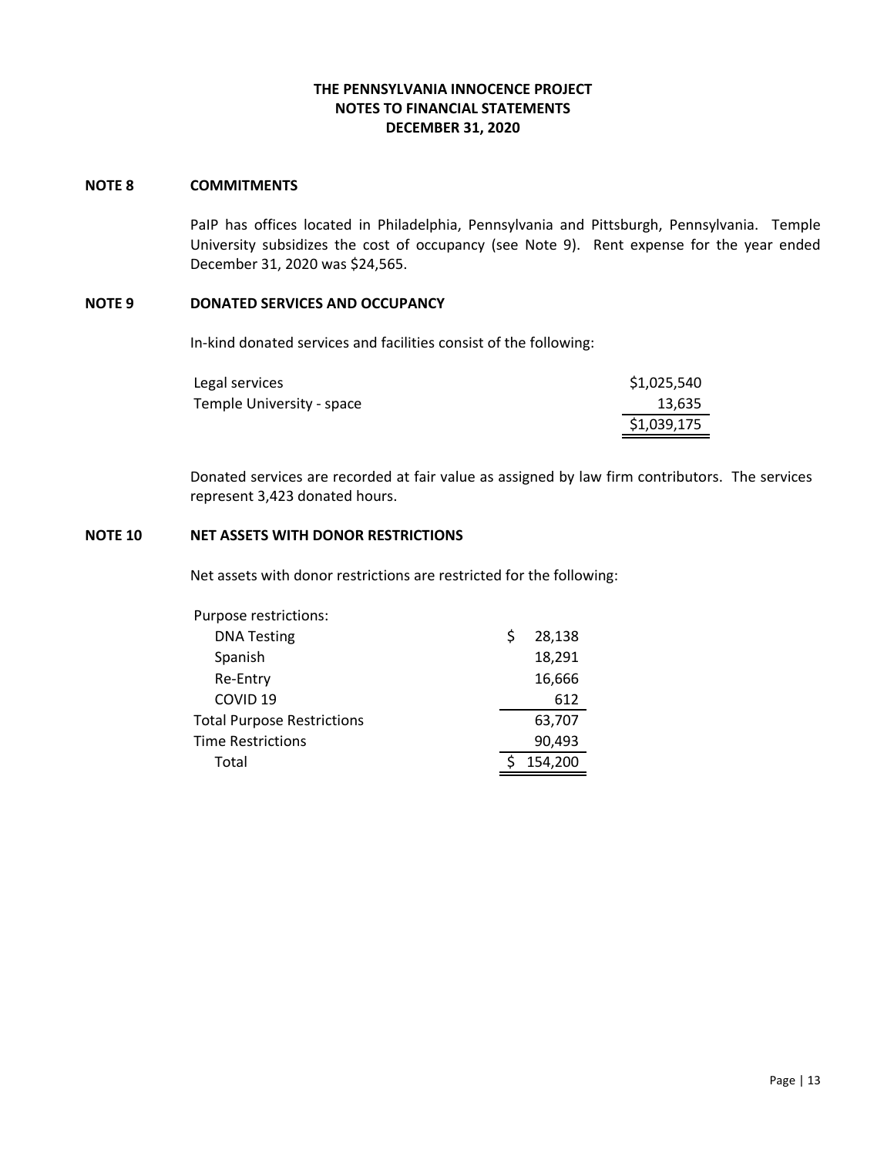## **NOTE 8 COMMITMENTS**

PaIP has offices located in Philadelphia, Pennsylvania and Pittsburgh, Pennsylvania. Temple University subsidizes the cost of occupancy (see Note 9). Rent expense for the year ended December 31, 2020 was \$24,565.

## **NOTE 9 DONATED SERVICES AND OCCUPANCY**

 In‐kind donated services and facilities consist of the following:

| Legal services            | \$1,025,540 |
|---------------------------|-------------|
| Temple University - space | 13,635      |
|                           | \$1,039,175 |

Donated services are recorded at fair value as assigned by law firm contributors. The services represent 3,423 donated hours.

## **NOTE 10 NET ASSETS WITH DONOR RESTRICTIONS**

Net assets with donor restrictions are restricted for the following:

| Purpose restrictions:             |   |         |
|-----------------------------------|---|---------|
| <b>DNA Testing</b>                | Ś | 28,138  |
| Spanish                           |   | 18,291  |
| Re-Entry                          |   | 16,666  |
| COVID <sub>19</sub>               |   | 612     |
| <b>Total Purpose Restrictions</b> |   | 63,707  |
| Time Restrictions                 |   | 90,493  |
| Total                             |   | 154,200 |
|                                   |   |         |